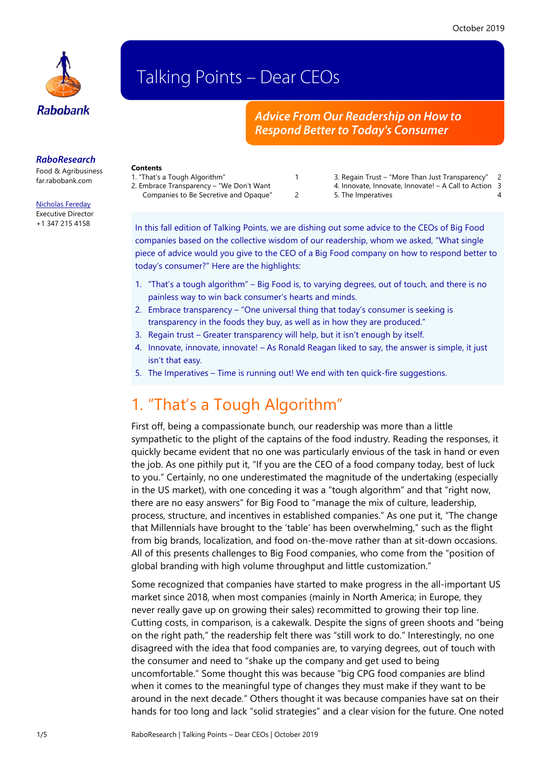

# Talking Points – Dear CEOs

#### *Advice From Our Readership on How to Respond Better to Today's Consumer*

#### *RaboResearch*

Food & Agribusiness [far.rabobank.com](http://far.rabobank.com/)

#### [Nicholas Fereday](mailto:nicholas.fereday@rabobank.com) Executive Director

+1 347 215 4158

#### **Contents**

- [1. "That's a Tough Algorithm"](#page-0-0) 1 [2. Embrace Transparency –](#page-1-0) "We Don't Want
	- [Companies to Be Secretive and Opaque"](#page-1-0) 2
- 
- 3. Regain Trust ["More Than Just Transparency"](#page-1-1) 2 [4. Innovate, Innovate, Innovate! –](#page-2-0) A Call to Action 3
	-
- -
	- [5. The Imperatives](#page-3-0) 4

In this fall edition of Talking Points, we are dishing out some advice to the CEOs of Big Food companies based on the collective wisdom of our readership, whom we asked, "What single piece of advice would you give to the CEO of a Big Food company on how to respond better to today's consumer?" Here are the highlights:

- 1. "That's a tough algorithm" Big Food is, to varying degrees, out of touch, and there is no painless way to win back consumer's hearts and minds.
- 2. Embrace transparency "One universal thing that today's consumer is seeking is transparency in the foods they buy, as well as in how they are produced."
- 3. Regain trust Greater transparency will help, but it isn't enough by itself.
- 4. Innovate, innovate, innovate! As Ronald Reagan liked to say, the answer is simple, it just isn't that easy.
- 5. The Imperatives Time is running out! We end with ten quick-fire suggestions.

## <span id="page-0-0"></span>1. "That's a Tough Algorithm"

First off, being a compassionate bunch, our readership was more than a little sympathetic to the plight of the captains of the food industry. Reading the responses, it quickly became evident that no one was particularly envious of the task in hand or even the job. As one pithily put it, "If you are the CEO of a food company today, best of luck to you." Certainly, no one underestimated the magnitude of the undertaking (especially in the US market), with one conceding it was a "tough algorithm" and that "right now, there are no easy answers" for Big Food to "manage the mix of culture, leadership, process, structure, and incentives in established companies." As one put it, "The change that Millennials have brought to the 'table' has been overwhelming," such as the flight from big brands, localization, and food on-the-move rather than at sit-down occasions. All of this presents challenges to Big Food companies, who come from the "position of global branding with high volume throughput and little customization."

Some recognized that companies have started to make progress in the all-important US market since 2018, when most companies (mainly in North America; in Europe, they never really gave up on growing their sales) recommitted to growing their top line. Cutting costs, in comparison, is a cakewalk. Despite the signs of green shoots and "being on the right path," the readership felt there was "still work to do." Interestingly, no one disagreed with the idea that food companies are, to varying degrees, out of touch with the consumer and need to "shake up the company and get used to being uncomfortable." Some thought this was because "big CPG food companies are blind when it comes to the meaningful type of changes they must make if they want to be around in the next decade." Others thought it was because companies have sat on their hands for too long and lack "solid strategies" and a clear vision for the future. One noted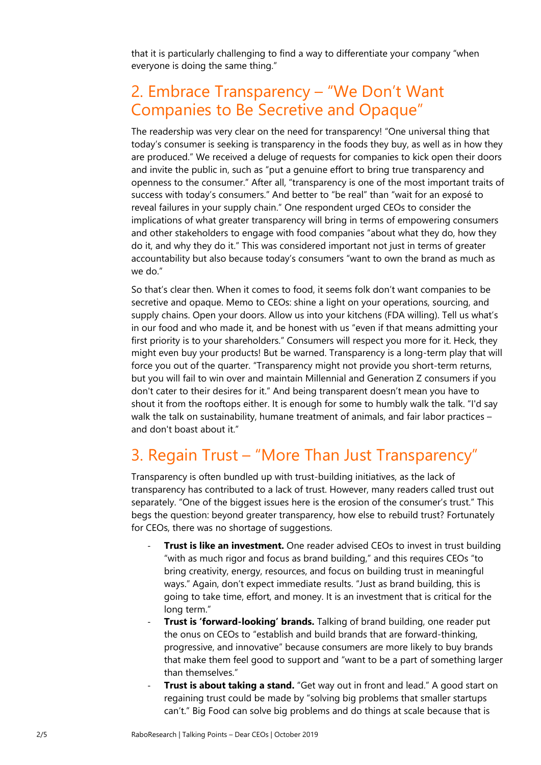that it is particularly challenging to find a way to differentiate your company "when everyone is doing the same thing."

### <span id="page-1-0"></span>2. Embrace Transparency – "We Don't Want Companies to Be Secretive and Opaque"

The readership was very clear on the need for transparency! "One universal thing that today's consumer is seeking is transparency in the foods they buy, as well as in how they are produced." We received a deluge of requests for companies to kick open their doors and invite the public in, such as "put a genuine effort to bring true transparency and openness to the consumer." After all, "transparency is one of the most important traits of success with today's consumers." And better to "be real" than "wait for an exposé to reveal failures in your supply chain." One respondent urged CEOs to consider the implications of what greater transparency will bring in terms of empowering consumers and other stakeholders to engage with food companies "about what they do, how they do it, and why they do it." This was considered important not just in terms of greater accountability but also because today's consumers "want to own the brand as much as we do."

So that's clear then. When it comes to food, it seems folk don't want companies to be secretive and opaque. Memo to CEOs: shine a light on your operations, sourcing, and supply chains. Open your doors. Allow us into your kitchens (FDA willing). Tell us what's in our food and who made it, and be honest with us "even if that means admitting your first priority is to your shareholders." Consumers will respect you more for it. Heck, they might even buy your products! But be warned. Transparency is a long-term play that will force you out of the quarter. "Transparency might not provide you short-term returns, but you will fail to win over and maintain Millennial and Generation Z consumers if you don't cater to their desires for it." And being transparent doesn't mean you have to shout it from the rooftops either. It is enough for some to humbly walk the talk. "I'd say walk the talk on sustainability, humane treatment of animals, and fair labor practices – and don't boast about it."

## <span id="page-1-1"></span>3. Regain Trust – "More Than Just Transparency"

Transparency is often bundled up with trust-building initiatives, as the lack of transparency has contributed to a lack of trust. However, many readers called trust out separately. "One of the biggest issues here is the erosion of the consumer's trust." This begs the question: beyond greater transparency, how else to rebuild trust? Fortunately for CEOs, there was no shortage of suggestions.

- **Trust is like an investment.** One reader advised CEOs to invest in trust building "with as much rigor and focus as brand building," and this requires CEOs "to bring creativity, energy, resources, and focus on building trust in meaningful ways." Again, don't expect immediate results. "Just as brand building, this is going to take time, effort, and money. It is an investment that is critical for the long term."
- **Trust is 'forward-looking' brands.** Talking of brand building, one reader put the onus on CEOs to "establish and build brands that are forward-thinking, progressive, and innovative" because consumers are more likely to buy brands that make them feel good to support and "want to be a part of something larger than themselves."
- **Trust is about taking a stand.** "Get way out in front and lead." A good start on regaining trust could be made by "solving big problems that smaller startups can't." Big Food can solve big problems and do things at scale because that is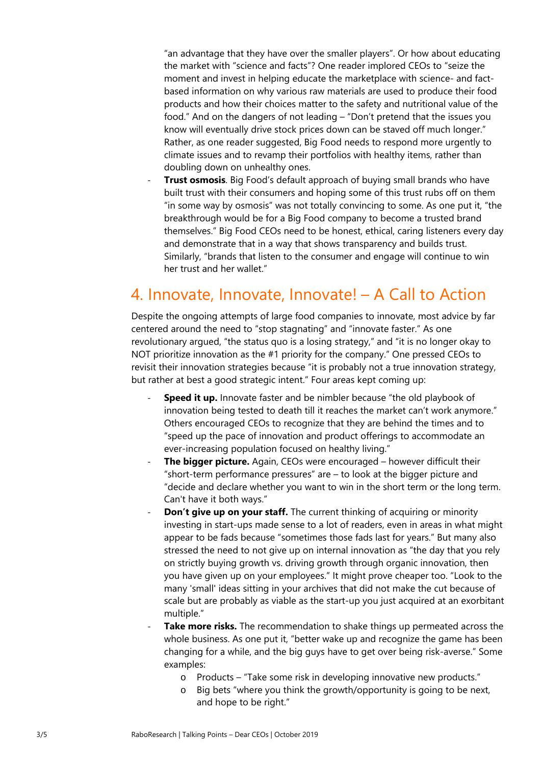"an advantage that they have over the smaller players". Or how about educating the market with "science and facts"? One reader implored CEOs to "seize the moment and invest in helping educate the marketplace with science- and factbased information on why various raw materials are used to produce their food products and how their choices matter to the safety and nutritional value of the food." And on the dangers of not leading – "Don't pretend that the issues you know will eventually drive stock prices down can be staved off much longer." Rather, as one reader suggested, Big Food needs to respond more urgently to climate issues and to revamp their portfolios with healthy items, rather than doubling down on unhealthy ones.

**Trust osmosis**. Big Food's default approach of buying small brands who have built trust with their consumers and hoping some of this trust rubs off on them "in some way by osmosis" was not totally convincing to some. As one put it, "the breakthrough would be for a Big Food company to become a trusted brand themselves." Big Food CEOs need to be honest, ethical, caring listeners every day and demonstrate that in a way that shows transparency and builds trust. Similarly, "brands that listen to the consumer and engage will continue to win her trust and her wallet."

## <span id="page-2-0"></span>4. Innovate, Innovate, Innovate! – A Call to Action

Despite the ongoing attempts of large food companies to innovate, most advice by far centered around the need to "stop stagnating" and "innovate faster." As one revolutionary argued, "the status quo is a losing strategy," and "it is no longer okay to NOT prioritize innovation as the #1 priority for the company." One pressed CEOs to revisit their innovation strategies because "it is probably not a true innovation strategy, but rather at best a good strategic intent." Four areas kept coming up:

- **Speed it up.** Innovate faster and be nimbler because "the old playbook of innovation being tested to death till it reaches the market can't work anymore." Others encouraged CEOs to recognize that they are behind the times and to "speed up the pace of innovation and product offerings to accommodate an ever-increasing population focused on healthy living."
- **The bigger picture.** Again, CEOs were encouraged however difficult their "short-term performance pressures" are – to look at the bigger picture and "decide and declare whether you want to win in the short term or the long term. Can't have it both ways."
- **Don't give up on your staff.** The current thinking of acquiring or minority investing in start-ups made sense to a lot of readers, even in areas in what might appear to be fads because "sometimes those fads last for years." But many also stressed the need to not give up on internal innovation as "the day that you rely on strictly buying growth vs. driving growth through organic innovation, then you have given up on your employees." It might prove cheaper too. "Look to the many 'small' ideas sitting in your archives that did not make the cut because of scale but are probably as viable as the start-up you just acquired at an exorbitant multiple."
- **Take more risks.** The recommendation to shake things up permeated across the whole business. As one put it, "better wake up and recognize the game has been changing for a while, and the big guys have to get over being risk-averse." Some examples:
	- o Products "Take some risk in developing innovative new products."
	- Big bets "where you think the growth/opportunity is going to be next, and hope to be right."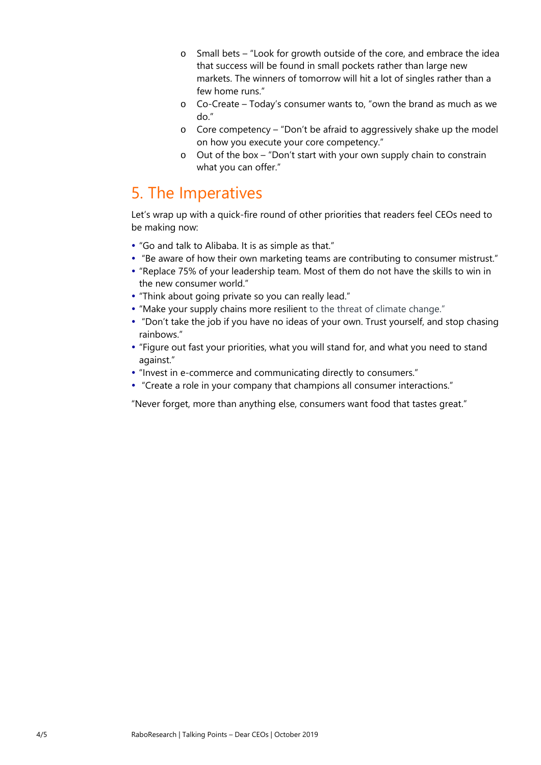- o Small bets "Look for growth outside of the core, and embrace the idea that success will be found in small pockets rather than large new markets. The winners of tomorrow will hit a lot of singles rather than a few home runs."
- o Co-Create Today's consumer wants to, "own the brand as much as we do."
- o Core competency "Don't be afraid to aggressively shake up the model on how you execute your core competency."
- o Out of the box "Don't start with your own supply chain to constrain what you can offer."

### <span id="page-3-0"></span>5. The Imperatives

Let's wrap up with a quick-fire round of other priorities that readers feel CEOs need to be making now:

- "Go and talk to Alibaba. It is as simple as that."
- "Be aware of how their own marketing teams are contributing to consumer mistrust."
- "Replace 75% of your leadership team. Most of them do not have the skills to win in the new consumer world."
- "Think about going private so you can really lead."
- "Make your supply chains more resilient to the threat of climate change."
- "Don't take the job if you have no ideas of your own. Trust yourself, and stop chasing rainbows."
- "Figure out fast your priorities, what you will stand for, and what you need to stand against."
- "Invest in e-commerce and communicating directly to consumers."
- "Create a role in your company that champions all consumer interactions."
- "Never forget, more than anything else, consumers want food that tastes great."